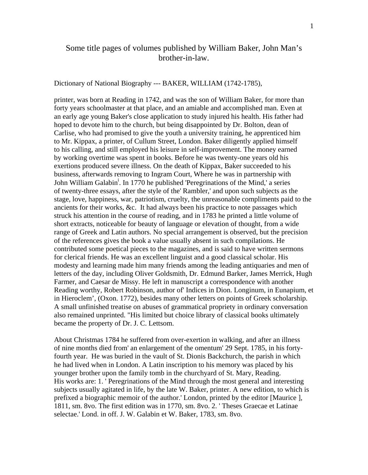### Some title pages of volumes published by William Baker, John Man's brother-in-law.

Dictionary of National Biography --- BAKER, WILLIAM (1742-1785),

printer, was born at Reading in 1742, and was the son of William Baker, for more than forty years schoolmaster at that place, and an amiable and accomplished man. Even at an early age young Baker's close application to study injured his health. His father had hoped to devote him to the church, but being disappointed by Dr. Bolton, dean of Carlise, who had promised to give the youth a university training, he apprenticed him to Mr. Kippax, a printer, of Cullum Street, London. Baker diligently applied himself to his calling, and still employed his leisure in self-improvement. The money earned by working overtime was spent in books. Before he was twenty-one years old his exertions produced severe illness. On the death of Kippax, Baker succeeded to his business, afterwards removing to Ingram Court, Where he was in partnership with John William Galabin<sup>i</sup>[.](#page-37-0) In 1770 he published 'Peregrinations of the Mind,' a series of twenty-three essays, after the style of the' Rambler,' and upon such subjects as the stage, love, happiness, war, patriotism, cruelty, the unreasonable compliments paid to the ancients for their works, &c. It had always been his practice to note passages which struck his attention in the course of reading, and in 1783 he printed a little volume of short extracts, noticeable for beauty of language or elevation of thought, from a wide range of Greek and Latin authors. No special arrangement is observed, but the precision of the references gives the book a value usually absent in such compilations. He contributed some poetical pieces to the magazines, and is said to have written sermons for clerical friends. He was an excellent linguist and a good classical scholar. His modesty and learning made him many friends among the leading antiquaries and men of letters of the day, including Oliver Goldsmith, Dr. Edmund Barker, James Merrick, Hugh Farmer, and Caesar de Missy. He left in manuscript a correspondence with another Reading worthy, Robert Robinson, author of' Indices in Dion. Longinum, in Eunapium, et in Hieroclem', (Oxon. 1772), besides many other letters on points of Greek scholarship. A small unfinished treatise on abuses of grammatical propriety in ordinary conversation also remained unprinted. "His limited but choice library of classical books ultimately became the property of Dr. J. C. Lettsom.

About Christmas 1784 he suffered from over-exertion in walking, and after an illness of nine months died from' an enlargement of the omentum' 29 Sept. 1785, in his fortyfourth year. He was buried in the vault of St. Dionis Backchurch, the parish in which he had lived when in London. A Latin inscription to his memory was placed by his younger brother upon the family tomb in the churchyard of St. Mary, Reading. His works are: 1. ' Peregrinations of the Mind through the most general and interesting subjects usually agitated in life, by the late W. Baker, printer. A new edition, to which is prefixed a biographic memoir of the author.' London, printed by the editor [Maurice ], 1811, sm. 8vo. The first edition was in 1770, sm. 8vo. 2. ' Theses Graecae et Latinae selectae.' Lond. in off. J. W. Galabin et W. Baker, 1783, sm. 8vo.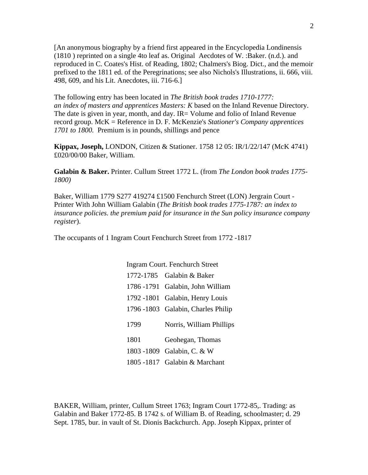[An anonymous biography by a friend first appeared in the Encyclopedia Londinensis (1810 ) reprinted on a single 4to leaf as. Original Aecdotes of W. :Baker. (n.d.). and reproduced in C. Coates's Hist. of Reading, 1802; Chalmers's Biog. Dict., and the memoir prefixed to the 1811 ed. of the Peregrinations; see also Nichols's Illustrations, ii. 666, viii. 498, 609, and his Lit. Anecdotes, iii. 716-6.]

The following entry has been located in *The British book trades 1710-1777: an index of masters and apprentices Masters: K* based on the Inland Revenue Directory. The date is given in year, month, and day. IR= Volume and folio of Inland Revenue record group. McK = Reference in D. F. McKenzie's *Stationer's Company apprentices 1701 to 1800.* Premium is in pounds, shillings and pence

**Kippax, Joseph,** LONDON, Citizen & Stationer. 1758 12 05: IR/1/22/147 (McK 4741) £020/00/00 Baker, William.

**Galabin & Baker.** Printer. Cullum Street 1772 L. (from *The London book trades 1775- 1800)*

Baker, William 1779 S277 419274 £1500 Fenchurch Street (LON) Jergrain Court - Printer With John William Galabin (*The British book trades 1775-1787: an index to insurance policies. the premium paid for insurance in the Sun policy insurance company register*).

The occupants of 1 Ingram Court Fenchurch Street from 1772 -1817

Ingram Court. Fenchurch Street 1772-1785 Galabin & Baker 1786 -1791 Galabin, John William 1792 -1801 Galabin, Henry Louis 1796 -1803 Galabin, Charles Philip 1799 Norris, William Phillips 1801 Geohegan, Thomas 1803 -1809 Galabin, C. & W 1805 -1817 Galabin & Marchant

BAKER, William, printer, Cullum Street 1763; Ingram Court 1772-85,. Trading: as Galabin and Baker 1772-85. B 1742 s. of William B. of Reading, schoolmaster; d. 29 Sept. 1785, bur. in vault of St. Dionis Backchurch. App. Joseph Kippax, printer of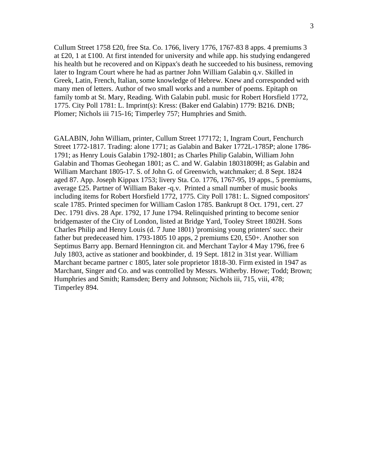Cullum Street 1758 £20, free Sta. Co. 1766, livery 1776, 1767-83 8 apps. 4 premiums 3 at £20, 1 at £100. At first intended for university and while app. his studying endangered his health but he recovered and on Kippax's death he succeeded to his business, removing later to Ingram Court where he had as partner John William Galabin q.v. Skilled in Greek, Latin, French, Italian, some knowledge of Hebrew. Knew and corresponded with many men of letters. Author of two small works and a number of poems. Epitaph on family tomb at St. Mary, Reading. With Galabin publ. music for Robert Horsfield 1772, 1775. City Poll 1781: L. Imprint(s): Kress: (Baker end Galabin) 1779: B216. DNB; Plomer; Nichols iii 715-16; Timperley 757; Humphries and Smith.

GALABIN, John William, printer, Cullum Street 177172; 1, Ingram Court, Fenchurch Street 1772-1817. Trading: alone 1771; as Galabin and Baker 1772L-1785P; alone 1786- 1791; as Henry Louis Galabin 1792-1801; as Charles Philip Galabin, William John Galabin and Thomas Geohegan 1801; as C. and W. Galabin 18031809H; as Galabin and William Marchant 1805-17. S. of John G. of Greenwich, watchmaker; d. 8 Sept. 1824 aged 87. App. Joseph Kippax 1753; livery Sta. Co. 1776, 1767-95, 19 apps., 5 premiums, average £25. Partner of William Baker -q.v. Printed a small number of music books including items for Robert Horsfield 1772, 1775. City Poll 1781: L. Signed compositors' scale 1785. Printed specimen for William Caslon 1785. Bankrupt 8 Oct. 1791, cert. 27 Dec. 1791 divs. 28 Apr. 1792, 17 June 1794. Relinquished printing to become senior bridgemaster of the City of London, listed at Bridge Yard, Tooley Street 1802H. Sons Charles Philip and Henry Louis (d. 7 June 1801) 'promising young printers' succ. their father but predeceased him. 1793-1805 10 apps, 2 premiums £20, £50+. Another son Septimus Barry app. Bernard Hennington cit. and Merchant Taylor 4 May 1796, free 6 July 1803, active as stationer and bookbinder, d. 19 Sept. 1812 in 31st year. William Marchant became partner c 1805, later sole proprietor 1818-30. Firm existed in 1947 as Marchant, Singer and Co. and was controlled by Messrs. Witherby. Howe; Todd; Brown; Humphries and Smith; Ramsden; Berry and Johnson; Nichols iii, 715, viii, 478; Timperley 894.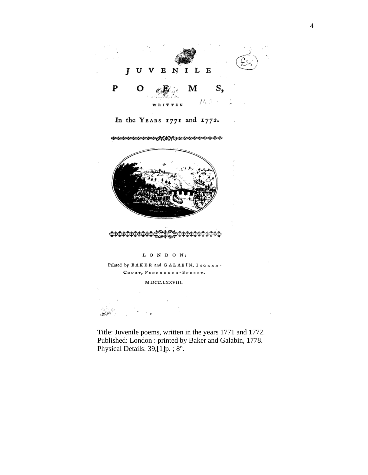

In the YEARS 1771 and 1772.

**ೊ**ಯೊಯೊಯೊಯೊಯೊಯೊಯೊಯೊಲ್ಡಿಕ್ಗೆ ಸ್ಪ್ರೀಟ್ಗೆ ಸ್ಪ್ರೀಟ್ ಕ್ರಿಯೊಯೊಯೊಯೊಯೊಯೊಯೊಯೊಯೊಯೊ



#### $L$   $O$   $N$   $D$   $O$   $N$  :

Printed by BAKER and GALABIN, INGRAM-COURT, FENCHURCH-STREET.

#### M.DCC.LXXVIII.

- 89

Title: Juvenile poems, written in the years 1771 and 1772. Published: London : printed by Baker and Galabin, 1778. Physical Details: 39,[1]p. ; 8°.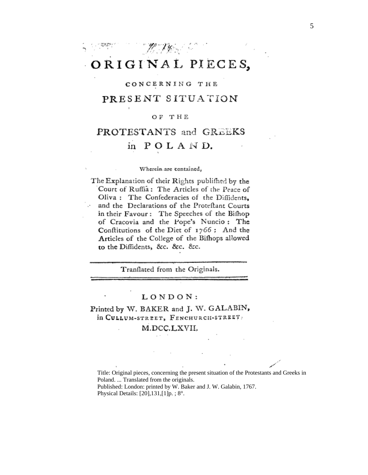## ORIGINAL PIECES,

M. Wallen

#### CONCERNING THE

### PRESENT SITUATION

#### OF THE

## PROTESTANTS and GREEKS in POLAND.

#### Wherein are contained,

The Explanation of their Rights publifhed by the Court of Ruffia: The Articles of the Peace of Oliva: The Confederacies of the Diffidents. and the Declarations of the Proteftant Courts in their Favour: The Speeches of the Bifhop of Cracovia and the Pope's Nuncio: The Conflitutions of the Diet of 1766 : And the Articles of the College of the Bifhops allowed to the Diffidents, &c. &c. &c.

Tranflated from the Originals.

#### LONDON:

### Printed by W. BAKER and J. W. GALABIN, in CULLUM-STREET, FENCHURCH-STREET,

### M.DCC.LXVII.

Title: Original pieces, concerning the present situation of the Protestants and Greeks in Poland. ... Translated from the originals. Published: London: printed by W. Baker and J. W. Galabin, 1767. Physical Details:  $[20], 131, [1]p.$ ;  $8^\circ$ .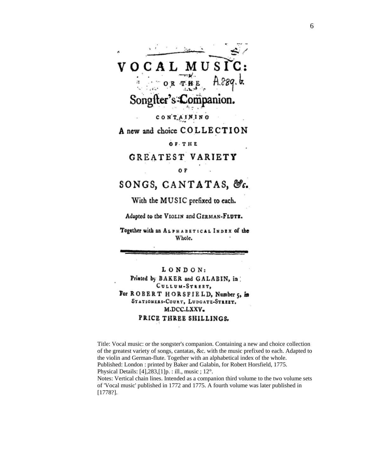VOCAL MUSI Songfter's Companion. CONTAINING A new and choice COLLECTION **OF THE** GREATEST VARIETY 0 F SONGS, CANTATAS, &c. With the MUSIC prefixed to each.

Adapted to the VIOLIN and GERMAN-FLUTE.

Together with an ALPHABETICAL INDEX of the Whole.

LONDON: Printed by BAKER and GALABIN, in CULLUM-STREET, For ROBERT HORSFIELD, Number 5, in STATIONERS-COURT, LUDGATE-STREET. M.DCC.LXXV. PRICE THREE SHILLINGS.

Title: Vocal music: or the songster's companion. Containing a new and choice collection of the greatest variety of songs, cantatas, &c. with the music prefixed to each. Adapted to the violin and German-flute. Together with an alphabetical index of the whole. Published: London : printed by Baker and Galabin, for Robert Horsfield, 1775. Physical Details: [4],283,[1]p. : ill., music ; 12°. Notes: Vertical chain lines. Intended as a companion third volume to the two volume sets of 'Vocal music' published in 1772 and 1775. A fourth volume was later published in [1778?].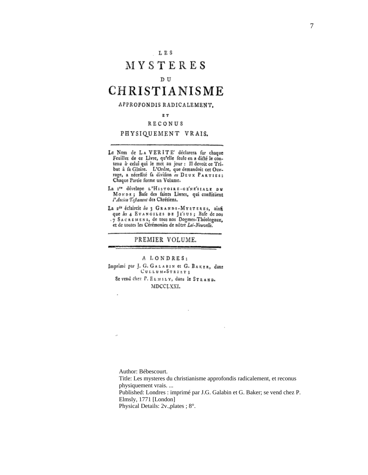$\boldsymbol{7}$ 

## MYSTERES

#### $D$  U

## CHRISTIANISME

#### APPROFONDIS RADICALEMENT.

#### EТ

#### RECONUS

#### PHYSIQUEMENT VRAIS.

- Le Nom de LAVERITE' déclarera fur chaque<br>Feuillet de ce Livre, qu'elle feule en a dicté le conreamet de ce Livre, qu'ene reane en a ditte le contenu à celui qui le met au jour : Il devoit ce Tri-<br>but à fa Gloire. L'Ordre, que demandoit cet Ouv-<br>rage, a nécessité fa division en DEUX PARTIES:<br>Chaque Partie forme un V
- La I<sup>te</sup> dévelope L'HISTOIRE-GE'NE'SIALE DU MONDE; Bafe des faints Livres, qui conflituent
- La 2<sup>de</sup> éclaircit les 3 GRANDS-MYSTERES, ainfi que les 4 EvanciLES DE JE'sus; Bafe de nos<br>7 SACREMENS, de tous nos Dogmes-Théologaux, et de toutes les Cérémonies de nôtre Lei-Nouvelle.

#### PREMIER VOLUME.

#### A LONDRES:

Imprimé par J. G. GALABIN et G. BAKER, dans CULLUM-STREET;

Se vend chez P. ELMSLY, dans le STRAND. MDCCLXXI.

Author: Bébescourt.

i,

y.

Title: Les mysteres du christianisme approfondis radicalement, et reconus physiquement vrais.... Published: Londres : imprimé par J.G. Galabin et G. Baker; se vend chez P. Elmsly, 1771 [London] Physical Details: 2v., plates; 8°.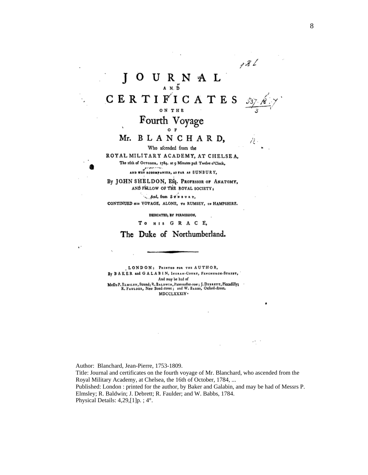$72\sqrt{2}$ J N A L U R  $A \times \tilde{D}$ CERTIFICATES ON THE Fourth Voyage

12 -

### Mr. BLANCHARD.

Who afcended from the

ROYAL MILITARY ACADEMY, AT CHELSEA. The 16th of OCTOBER, 1784, at 9 Minutes paft Twelve o'Clock,

AND WAS ACCOMPANIED, AS FAR AS SUNBURY,

By JOHN SHELDON, Efq. PROFESSOR OF ANATOMY, AND FELLOW OF THE ROYAL SOCIETY;

. And, from Sownuzr, CONTINUED HIS VOYAGE, ALONE, To RUMSEY, IN HAMPSHIRE.

DEDICATED, BY PERMISSION,

To HIS GRACE,

The Duke of Northumberland.

 $\epsilon$  .

LONDON: PRINTED FOR THE AUTHOR, By BAKER and GALABIN, INGRAM-COURT, FENCHURCH-STAERT, And may be had of Meffrs P. ELMSLEY, Strand; R. BALDWIN, Paternofter-row; J. DEBRETT, Piccadilly;<br>R. FAULDER, New Bond-lireet; and W. BABBS, Oxford-fireet. MDCCLXXXIV .

Author: Blanchard, Jean-Pierre, 1753-1809. Title: Journal and certificates on the fourth voyage of Mr. Blanchard, who ascended from the Royal Military Academy, at Chelsea, the 16th of October, 1784, ... Published: London : printed for the author, by Baker and Galabin, and may be had of Messrs P. Elmsley; R. Baldwin; J. Debrett; R. Faulder; and W. Babbs, 1784. Physical Details:  $4,29$ , [1] p. ;  $4^{\circ}$ .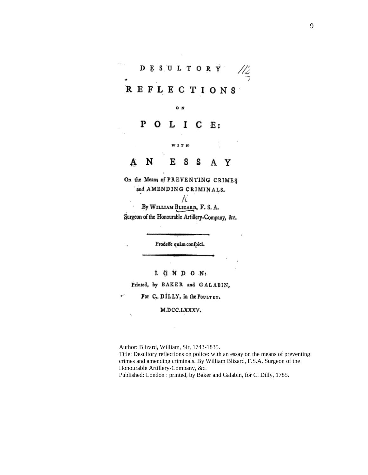### $\frac{1}{2}$  $\bar{\mathbf{r}}$ DESULTORY REFLECTIONS

#### P L I O С Ε.

оw

N Е S S A Y A

W 1 T H

On the Means of PREVENTING CRIMES and AMENDING CRIMINALS.

Α By WILLIAM BLIZARD, F. S. A. Surgeon of the Honourable Artillery-Company, &c.

Prodeffe quàm confpici.

L Q N D O N:

Printed, by BAKER and GALABIN,

For C. DILLY, in the POULTRY.

M.DCC.LXXXV.

Author: Blizard, William, Sir, 1743-1835. Title: Desultory reflections on police: with an essay on the means of preventing crimes and amending criminals. By William Blizard, F.S.A. Surgeon of the Honourable Artillery-Company, &c. Published: London : printed, by Baker and Galabin, for C. Dilly, 1785.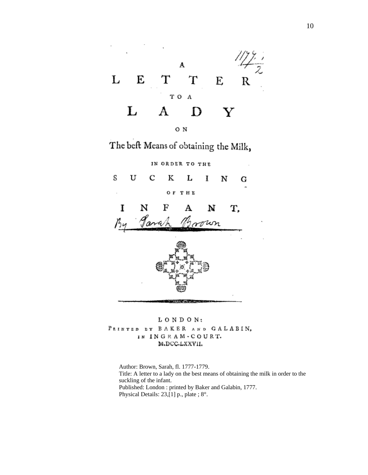

The beft Means of obtaining the Milk,



LONDON: PRINTED DY BAKER AND GALABIN, IN INGRAM-COURT. M.DCC.LXXVII.

Author: Brown, Sarah, fl. 1777-1779. Title: A letter to a lady on the best means of obtaining the milk in order to the suckling of the infant. Published: London : printed by Baker and Galabin, 1777. Physical Details: 23,[1] p., plate ; 8°.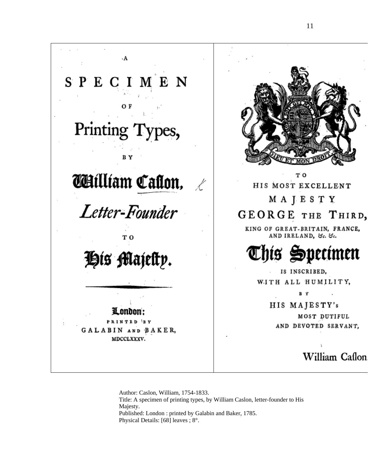$\mathbf{A}$ SPECIMEN OF Printing Types, B Y ΤŌ **William Callon,** HIS MOST EXCELLENT MAJESTY Letter-Founder GEORGE THE THIRD, KING OF GREAT-BRITAIN, FRANCE, AND IRELAND, &c. &c. тo Chís Specímen His Majelty. IS INSCRIBED, WITH ALL HUMILITY, B HIS MAJESTY's London: MOST DUTIFUL PRINTED 'BY AND DEVOTED SERVANT, **GALABIN AND BAKER,** MDCCLXXXV. William Caflon

Author: Caslon, William, 1754-1833. Title: A specimen of printing types, by William Caslon, letter-founder to His Majesty. Published: London : printed by Galabin and Baker, 1785. Physical Details: [68] leaves ; 8°.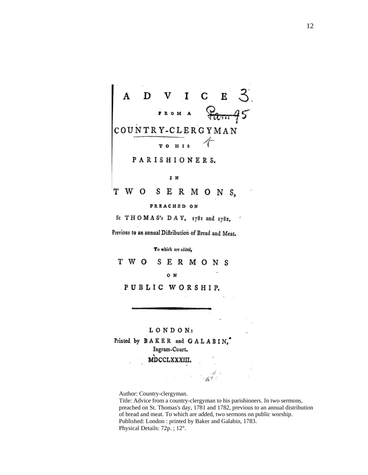

PREACHED ON

St THOMAS's DAY, 1781 and 1782,

Previous to an annual Diftribution of Bread and Meat.

To which are added,

T W O S E R M O N S

O N

PUBLIC WORSHIP.

LONDON:

Printed by BAKER and GALABIN, Ingram-Court.

MDCCLXXXIII.

Author: Country-clergyman.

Title: Advice from a country-clergyman to his parishioners. In two sermons, preached on St. Thomas's day, 1781 and 1782, previous to an annual distribution of bread and meat. To which are added, two sermons on public worship. Published: London: printed by Baker and Galabin, 1783. Physical Details: 72p.; 12°.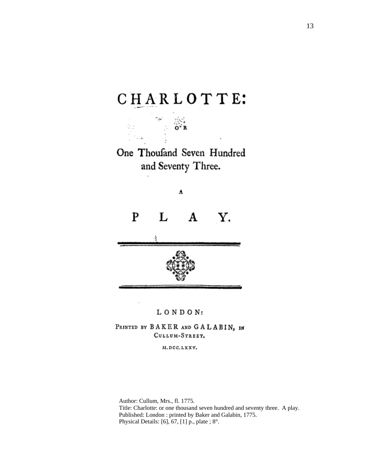# CHARLOTTE:



A

L  ${\bf P}$ Y.  $\mathbf A$ 



#### LONDON:

PRINTED BY BAKER AND GALABIN, IN CULLUM-STREET.

M.DCC.LXXV.

Author: Cullum, Mrs., fl. 1775. Title: Charlotte: or one thousand seven hundred and seventy three. A play. Published: London : printed by Baker and Galabin, 1775. Physical Details: [6], 67, [1] p., plate ; 8°.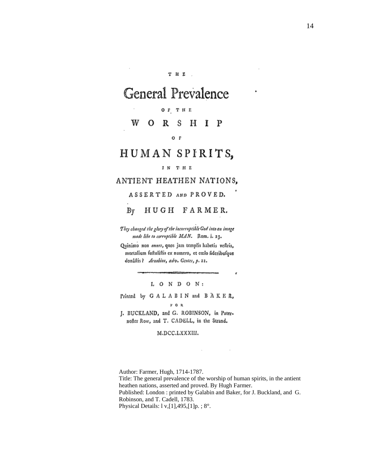#### THE.

## **General Prevalence**

#### OF THE

R S H I P w  $\Omega$ 

 $O F$ 

## HUMAN SPIRITS,

#### IN THE

### ANTIENT HEATHEN NATIONS,

ASSERTED AND PROVED.

 $By$ HUGH FARMER.

They changed the glory of the incorruptible God into an image made like to corruptible MAN. Rom. i. 23.

Quinimo non omnes, quos jam templis habetis veftris, mortalium fuftuliftis ex numero, et cozlo fideribufque donâstis? Arnobius, adv. Gentes, p. 21.

LONDON:

Printed by GALABIN and BAKER,

 $P$  O R

J. BUCKLAND, and G. ROBINSON, in Paternofter Row, and T. CADELL, in the Strand.

#### M.DCC.LXXXIII.

Author: Farmer, Hugh, 1714-1787. Title: The general prevalence of the worship of human spirits, in the antient heathen nations, asserted and proved. By Hugh Farmer. Published: London : printed by Galabin and Baker, for J. Buckland, and G. Robinson, and T. Cadell, 1783. Physical Details:  $1 v, [1], 495, [1]p.$ ;  $8^{\circ}$ .

 $\sim$ 

×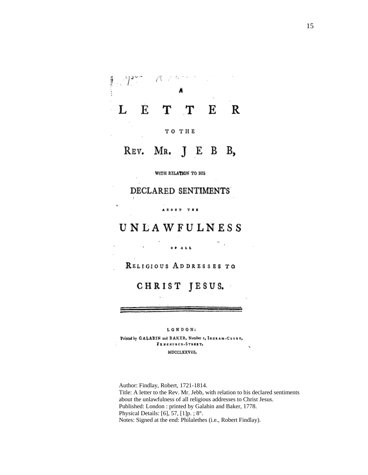#### $\sqrt{\lambda}$  of  $\frac{1}{2}$ 不安の こうこう í, L  $\begin{array}{c} \begin{array}{c} \begin{array}{c} \begin{array}{c} \end{array}\\ \end{array} \end{array} \end{array}$ É T  $\mathbf T$ Е R

TO THE

REV. MR.  $\mathbf{I}$ E B **B**,

WITH RELATION TO HIS

DECLARED SENTIMENTS

**AROUT TEE** 

### **UNLAWFULNESS**

 $\ddot{\phantom{0}}$ 

RELIGIOUS ADDRESSES TO

CHRIST JESUS.

LONDON:

Printed by GALABIN and BAKER, Number 1, INGRAM-COURT, FINCHURCH-STREET. MDCCLXXVIII,

Author: Findlay, Robert, 1721-1814. Title: A letter to the Rev. Mr. Jebb, with relation to his declared sentiments about the unlawfulness of all religious addresses to Christ Jesus. Published: London : printed by Galabin and Baker, 1778. Physical Details: [6], 57, [1] $p$ .; 8°. Notes: Signed at the end: Philalethes (i.e., Robert Findlay).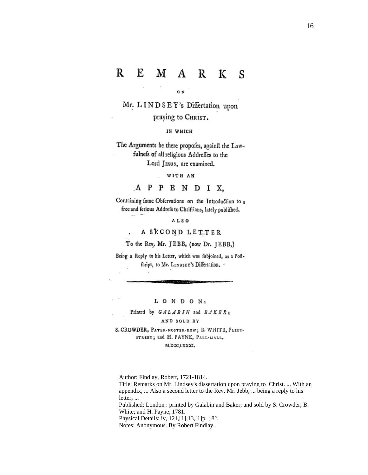#### R E M A R K S

0N

Mr. LINDSEY's Differtation upon praying to CHRIST.

IN WHICH

The Arguments he there propofes, againft the Lawfulnefs of all religious Addreffes to the Lord JEsus, are examined.

WITH AN

A P P E N D I X.

Containing fome Obfervations on the Introduction to a free and ferious Addrefs to Chriftians, lately publifhed.

ALSO

A SECOND LETTER

 $\sim 10^{10}$ 

To the Rev. Mr. JEBB, (now Dr. JEBB,)

Being a Reply to his Letter, which was fubjoined, as a Poftfcript, to Mr. LINDSEY's Differtation. .

LONDON:

Printed by GALABIN and BAKER;

#### AND SOLD BY

S. CROWDER, PATER-NOSTER-ROW; B. WHITE, FLEET-STREET; and H. PAYNE, PALL-MALL, M.DCC,LXXXI,

Author: Findlay, Robert, 1721-1814.

Title: Remarks on Mr. Lindsey's dissertation upon praying to Christ. ... With an appendix, ... Also a second letter to the Rev. Mr. Jebb, ... being a reply to his letter, ...

Published: London : printed by Galabin and Baker; and sold by S. Crowder; B. White; and H. Payne, 1781.

Physical Details: iv, 121,[1],13,[1]p. ; 8°.

Notes: Anonymous. By Robert Findlay.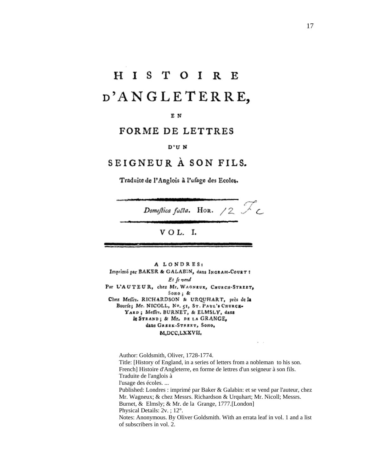# **HISTOIRE** D'ANGLETERRE,

#### E N

### FORME DE LETTRES

#### D'UN

### SEIGNEUR À SON FILS.

Traduite de l'Anglois à l'ufage des Ecoles.

Domestica facta. HOR.  $/2$   $\mathbb{Z}_c$ 

### $V$  O L. I.

A LONDRES: Imprimé par BAKER & GALABIN, dans INGRAM-COURT : Et fe vend Par L'AUTEUR, chez Mr. WAGNEUX, CHURCH-STREET, Sono; & Chez Meffrs. RICHARDSON & URQUHART, près de la Bourfe; Mr. NICOLL, No. 51, ST. PAUL's CRURCH-YARD; Meffrs, BURNET, & ELMSLY, dans Ic STRAND; & Mr. DE LA GRANGE, dans GREEK-STREET, SOHO, M,DCC,LXXVII,

Author: Goldsmith, Oliver, 1728-1774. Title: [History of England, in a series of letters from a nobleman to his son.] French] Histoire d'Angleterre, en forme de lettres d'un seigneur à son fils. Traduite de l'anglois à l'usage des écoles.... Published: Londres : imprimé par Baker & Galabin: et se vend par l'auteur, chez Mr. Wagneux; & chez Messrs. Richardson & Urquhart; Mr. Nicoll; Messrs. Burnet, & Elmsly; & Mr. de la Grange, 1777. [London] Physical Details: 2v.; 12°. Notes: Anonymous. By Oliver Goldsmith. With an errata leaf in vol. 1 and a list of subscribers in vol. 2.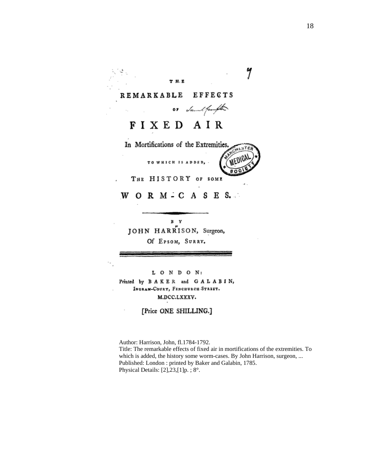#### **REMARKABLE EFFECTS**

THE

Sunn! from fite 0 P

y

## FIXED AIR

In Mortifications of the Extremities **MEDICI** TO WHICH IS ADDED,  $\frac{1}{800}$ 

THE HISTORY OF SOME

WORMICASES.

B Y JOHN HARRISON, Surgeon, Of EPSOM, SURRY.

LONDON: Printed by BAKER and GALABIN, INGRAM-COURT, FENCHURCH-STREET. M.DCC.LXXXV.

[Price ONE SHILLING.]

Author: Harrison, John, fl.1784-1792. Title: The remarkable effects of fixed air in mortifications of the extremities. To which is added, the history some worm-cases. By John Harrison, surgeon, ... Published: London: printed by Baker and Galabin, 1785. Physical Details: [2], 23, [1] p. ; 8°.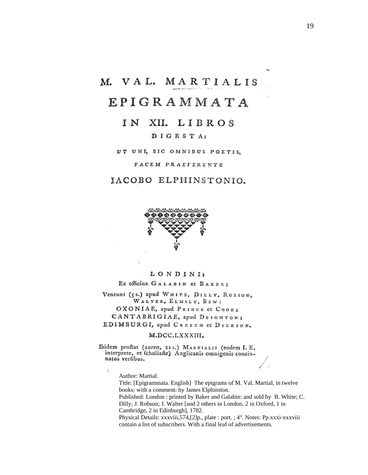## M. VAL. MARTIALIS

## EPIGRAMMATA

### IN XII. LIBROS

#### DIGESTA:

UT UNI, SIC OMNIBUS POETIS,

FACEM PRAEFERENTE

### IACOBO ELPHINSTONIO.



#### LONDINI:

Ex officina GALABIN et BAKER;

Veneunt (5s.) apud WHITE, DILLY, ROBSON, WALTER, ELMSLY, BEW: OXONIAE, apud PRINCE et COOK; CANTABRIGIAE, apud DEIGHTON; EDIMBURGI, apud CREECH et DICKSON.

#### M.DCC.LXXXIII.

Ibidem proftat (aureo, 21s.) MARTIALIS (codem I. E. interprete, et fcholiafte) Anglicanis omnigenis concinnatus verfibus.

Author: Martial.

 $^\ast$ 

Title: [Epigrammata. English] The epigrams of M. Val. Martial, in twelve books: with a comment: by James Elphinston.

Published: London : printed by Baker and Galabin: and sold by B. White; C. Dilly; J. Robson; J. Walter [and 2 others in London, 2 in Oxford, 1 in Cambridge, 2 in Edinburgh], 1782.

Physical Details: xxxviii,574,[2]p., plate : port. ; 4°. Notes: Pp.xxxi-xxxviii contain a list of subscribers. With a final leaf of advertisements.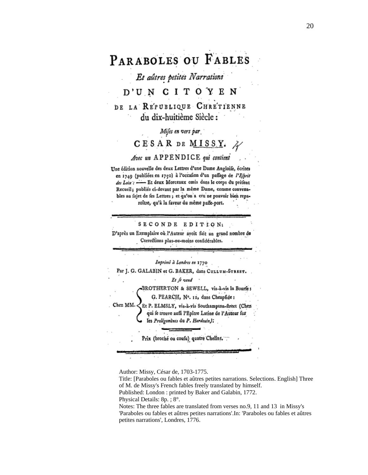# PARABOLES OU FABLES

Et aûtres petites Narrations

### D'UN CITOYEN

DE LA REPUBLIQUE CHRETIENNE du dix-huitième Siècle :

Mifes en vers par

CESAR DE MISSY.

#### Avec un APPENDICE qui contient

Une édition nouvelle des deux Lettres d'une Dame Angloife, écrites en 1749 (publiées en 1750) à l'occafion d'un paffage de l'Eforit des Loix : - Et deux Morceaux omis dans le corps du préfent Recueil; publiés ci-devant par la même Dame, comme convenables au fujet de fes Lettres; et qu'on a cru ne pouvoir bien reparoître, qu'à la faveur du même paffe-port.

SECONDE EDITION:

D'après un Exemplaire où l'Auteur avoit fait un grand nombre de Corrections plus-ou-moins confidérables.

Imprimé à Londres en 1770

Par J. G. GALABIN et G. BAKER, dans Curtum-STREET.

Et ∫e vend

BROTHERTON & SEWELL, vis-à-vis la Bourfe;

G. PEARCH, Nº. 12, dans Cheapfide:

Chez MM. Et P. ELMSLY, vis-à-vis Southampton-fireet (Chez qui fe trouve auffi l'Epître Latine de l'Auteur fur les Prolégomènes du P. Hardouin):

Prix (broché ou coufu) quatre Chelins.

Author: Missy, César de, 1703-1775.

Title: [Paraboles ou fables et aûtres petites narrations. Selections. English] Three of M. de Missy's French fables freely translated by himself. Published: London: printed by Baker and Galabin, 1772.

Physical Details: 8p. ; 8°.

Notes: The three fables are translated from verses no.9, 11 and 13 in Missy's 'Paraboles ou fables et aûtres petites narrations'.In: 'Paraboles ou fables et aûtres petites narrations', Londres, 1776.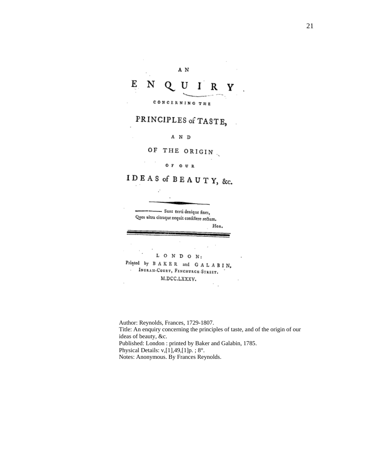#### E N U L R Y O CONCERNING THE

#### PRINCIPLES of TASTE,  $\overline{a}$

A N D

OF THE ORIGIN

#### OF OUR

IDEAS of BEAUTY, &c.



Author: Reynolds, Frances, 1729-1807. Title: An enquiry concerning the principles of taste, and of the origin of our ideas of beauty, &c. Published: London: printed by Baker and Galabin, 1785. Physical Details: v,[1],49,[1]p.; 8°. Notes: Anonymous. By Frances Reynolds.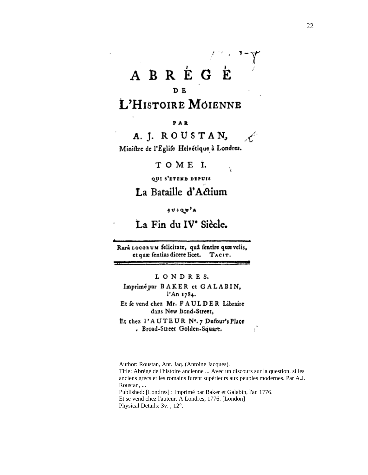# ABREGE

### DE

## L'HISTOIRE MOIENNE

PAR

A. J. ROUSTAN, Æ.

ŕ.

Miniftre de l'Eglife Helvétique à Londres.

TOME I.

QUI S'ETEND DEPUIS

La Bataille d'Actium

**jusqu'a** 

La Fin du IV<sup>e</sup> Siècle.

Rarâ LOCORUM felicitate, quâ fentire quævelis, et quæ fentias dicere licet. TACIT.

LONDRES.

Imprimé par BAKER et GALABIN, l'An 1784.

Et fe vend chez Mr. FAULDER Libraire dans New Bond-Street,

Et chez 1'AUTEUR Nº.7 Dufour's Place . Broad-Street Golden-Square.

Author: Roustan, Ant. Jaq. (Antoine Jacques). Title: Abrégé de l'histoire ancienne ... Avec un discours sur la question, si les anciens grecs et les romains furent supérieurs aux peuples modernes. Par A.J. Roustan, ... Published: [Londres] : Imprimé par Baker et Galabin, l'an 1776. Et se vend chez l'auteur. A Londres, 1776. [London] Physical Details: 3v.; 12°.

Č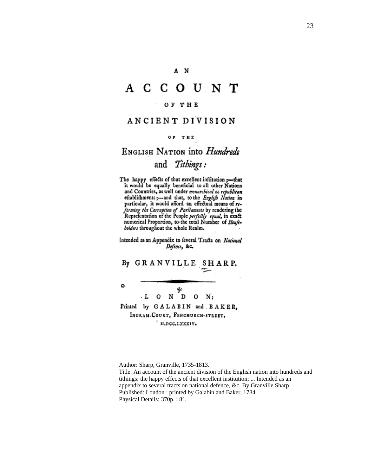#### A N

## A C C O U N T

#### OF THE

### ANCIENT DIVISION

#### OF THE

### ENGLISH NATION into Hundreds and Tithings:

The happy effects of that excellent inflitution ;- that it would be equally beneficial to all other Nations and Countries, as well under monarchical as republican eftablifhments;-and that, to the Englift Nation in particular, it would afford an effectual means of reforming the Corruption of Parliaments by rendering the<br>Reprefentation of the People perfectly equal, in exact numerical Proportion, to the total Number of Houfebolders throughout the whole Realm.

Intended as an Appendix to feveral Tracts on National Defence, &c.

By GRANVILLE SHARP.

80  $O$  N D  $O$  N:  $\cdot$  L Printed by GALABIN and BAKER, INGRAM-COURT, FENCHURCH-STREET. M.DCC.LXXXIV.

۵

Author: Sharp, Granville, 1735-1813. Title: An account of the ancient division of the English nation into hundreds and tithings: the happy effects of that excellent institution; ... Intended as an appendix to several tracts on national defence, &c. By Granville Sharp Published: London: printed by Galabin and Baker, 1784. Physical Details: 370p.; 8°.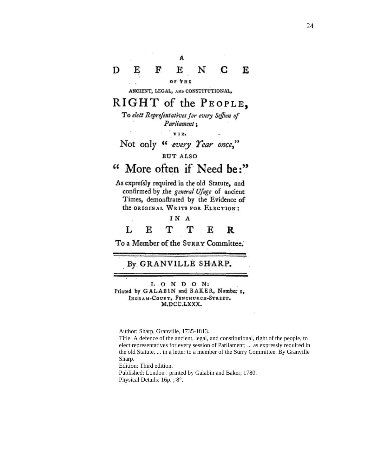#### N Е F D E С Е ОР ТНЕ

ANCIENT, LEGAL, AND CONSTITUTIONAL,

## RIGHT of the PEOPLE,

To elect Representatives for every Seffion of Parliament;

v I z.

## Not only " every Year once,"

**BUT ALSO** 

#### 66 More often if Need be:"

As exprefsly required in the old Statute, and confirmed by the general Ufage of ancient Times, demonftrated by the Evidence of the ORIGINAL WRITS FOR ELECTION:

#### IN A L Е т т Е R

To a Member of the SURRY Committee.

#### By GRANVILLE SHARP.

L O N D O N: Printed by GALABIN and BAKER, Number 1, INGRAM-COURT, FENCHURCH-STREET. M.DCC.LXXX.

Author: Sharp, Granville, 1735-1813.

Title: A defence of the ancient, legal, and constitutional, right of the people, to elect representatives for every session of Parliament; ... as expressly required in the old Statute, ... in a letter to a member of the Surry Committee. By Granville Sharp.

Edition: Third edition. Published: London : printed by Galabin and Baker, 1780. Physical Details: 16p.; 8°.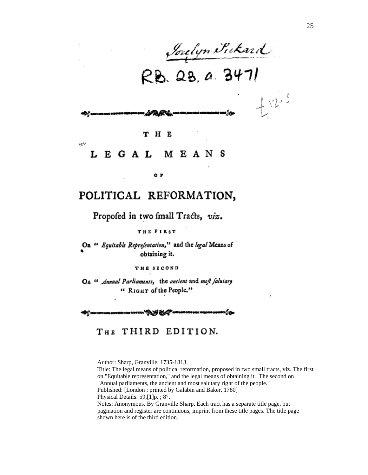*Inelyn Sickard*<br>RB. 23, a. 3471

#### H E T

#### EGAL M E A N S L

 $\frac{1}{2} \sum_{i=1}^n \frac{1}{i}$ 

### POLITICAL REFORMATION,

ОP

### Propofed in two fmall Tracts, viz.

#### THE FIRST

On " Equitable Representation," and the legal Means of obtaining it.

THE SECOND

On " Annual Parliaments, the ancient and moft falutary " RIGHT of the People."

-66.

THIRD EDITION. Тнв

Author: Sharp, Granville, 1735-1813.

Title: The legal means of political reformation, proposed in two small tracts, viz. The first on "Equitable representation," and the legal means of obtaining it. The second on "Annual parliaments, the ancient and most salutary right of the people." Published: [London : printed by Galabin and Baker, 1780]

Physical Details: 59,[1]p. ; 8°.

Notes: Anonymous. By Granville Sharp. Each tract has a separate title page, but pagination and register are continuous; imprint from these title pages. The title page shown here is of the third edition.

 $t^{w}$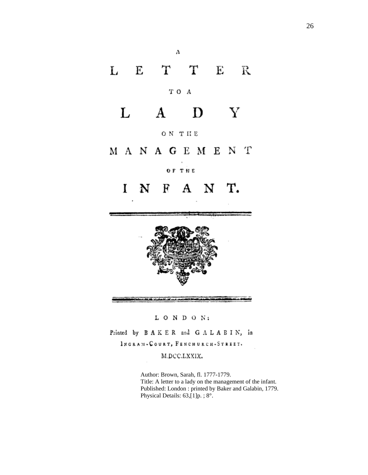# L E T T E R TO A D Y L  $\bf{A}$ ON THE MANAGEMENT OF THE N F A N T.  $\mathbf{I}$

Α

LONDON:

Printed by BAKER and GALABIN, in

INGRAM-COURT, FENCHURCH-STREET.

#### M.DCC.LXXIX.

Author: Brown, Sarah, fl. 1777-1779. Title: A letter to a lady on the management of the infant. Published: London : printed by Baker and Galabin, 1779. Physical Details: 63,[1]p. ; 8°.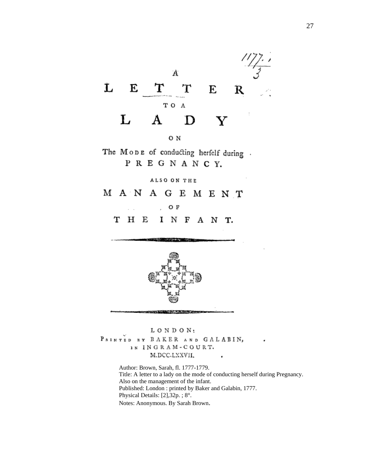



The MODE of conducting herfelf during. PREGNANCY.

ALSO ON THE

MANAGEMENT

ОF  $\mathcal{L}^{\pm}$ 

 $H E$ INFANT. т



LONDON; PAINTED BY BAKER AND GALABIN, IN INGRAM-COURT. M.DCC.LXXVII. ٠

> Author: Brown, Sarah, fl. 1777-1779. Title: A letter to a lady on the mode of conducting herself during Pregnancy. Also on the management of the infant. Published: London : printed by Baker and Galabin, 1777. Physical Details: [2],32p. ; 8°. Notes: Anonymous. By Sarah Brown.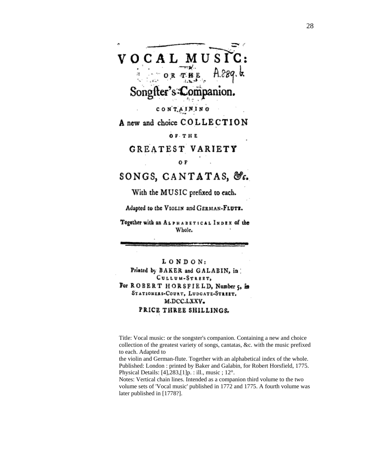

A new and choice COLLECTION

**OF THE** 

GREATEST VARIETY

0F

SONGS, CANTATAS, &c.

With the MUSIC prefixed to each.

Adapted to the VIOLIN and GERMAN-FLUTE.

Together with an ALPHABETICAL INDEX of the Whole.

LONDON: Printed by BAKER and GALABIN, in CULLUM-STREET, For ROBERT HORSFIELD, Number 5, in STATIONERS-COURT, LUDGATE-STREET. M.DCC.LXXV. PRICE THREE SHILLINGS.

Title: Vocal music: or the songster's companion. Containing a new and choice collection of the greatest variety of songs, cantatas, &c. with the music prefixed to each. Adapted to

the violin and German-flute. Together with an alphabetical index of the whole. Published: London : printed by Baker and Galabin, for Robert Horsfield, 1775. Physical Details: [4],283,[1]p. : ill., music ; 12°.

Notes: Vertical chain lines. Intended as a companion third volume to the two volume sets of 'Vocal music' published in 1772 and 1775. A fourth volume was later published in [1778?].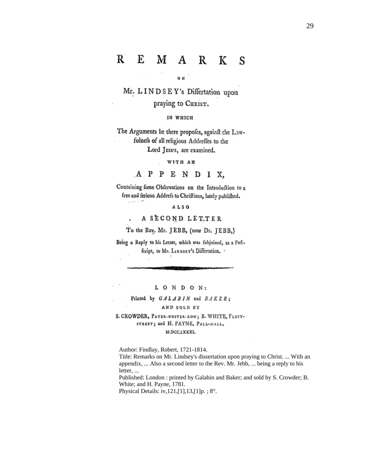#### M A R R E K S

o N

Mr. LINDSEY's Differtation upon praying to CHRIST.

IN WHICH

The Arguments he there propofes, againft the Lawfulnefs of all religious Addreffes to the Lord JEsus, are examined.

WITH AN

APPENDIX,

Containing fome Obfervations on the Introduction to a free and ferious Addrefs to Chriftians, lately publifhed.

ALSO

. . *. .* . .

A SECOND LETTER

To the Rev. Mr. JEBB, (now Dr. JEBB,)

Being a Reply to his Letter, which was fubjoined, as a Poftfcript, to Mr. LINDSEY's Differtation. .

LONDON:

Printed by GALABIN and BAKER;

AND SOLD BY

S. CROWDER, PATER-NOSTER-ROW; B. WHITE, FLEET-STREET; and H. PAYNE, PALL-MALL, M.DCC,LXXXI,

Author: Findlay, Robert, 1721-1814. Title: Remarks on Mr. Lindsey's dissertation upon praying to Christ. ... With an

appendix, ... Also a second letter to the Rev. Mr. Jebb, ... being a reply to his letter, ...

Published: London: printed by Galabin and Baker; and sold by S. Crowder; B. White; and H. Payne, 1781.

Physical Details: iv, 121, [1], 13, [1] p. ; 8°.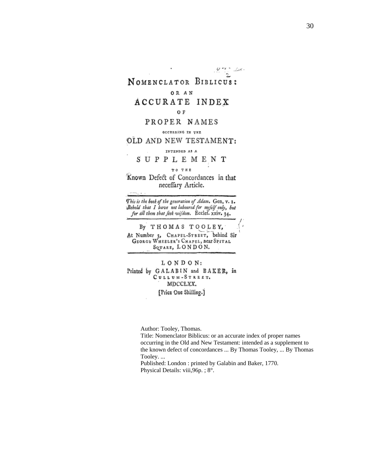$\sim$   $\sim$ NOMENCLATOR BIBLICUS: OR AN ACCURATE INDEX 0F PROPER NAMES OCCURRING IN THE OLD AND NEW TESTAMENT: INTENDED AS A SUPPLEMENT TO THE Known Defect of Concordances in that neceffary Article. This is the book of the generation of Adam. Gen. v. 1. Bebold that I have not laboured for myfelf only, but for all them that feek wifdom. Ecclef. xxiv. 34.

By THOMAS TOOLEY, At Number 3, CHAPEL-STREET, behind Sir GEORGE WHEELER'S CHAPEL, near SPITAL SQUARE, LONDON.

LONDON: Printed by GALABIN and BAKER, in CULLUM-STREET. MDCCLXX. [Price One Shilling.]

Author: Tooley, Thomas.

Title: Nomenclator Biblicus: or an accurate index of proper names occurring in the Old and New Testament: intended as a supplement to the known defect of concordances ... By Thomas Tooley, ... By Thomas Tooley. ...

Published: London : printed by Galabin and Baker, 1770. Physical Details: viii,96p. ; 8°.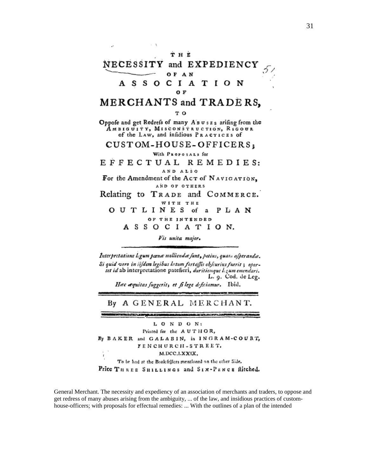#### тнв NECESSITY and EXPEDIENCY OF AN s o - S CIATION А O F MERCHANTS and TRADERS, то Oppofe and get Redrefs of many Asuss arifing from the Амвісціту, Misconsтанстіон, Ricour of the LAW, and infidious PRACTICES of CUSTOM-HOUSE-OFFICERS; With Proposals for EFFECTUAL REMEDIES: AND ALSO For the Amendment of the Act of NAVIGATION, AND OF OTHERS Relating to TRADE and COMMERCE. WITH THE OUTLINES of a PLAN OF THE INTENDED ASSOCIATION. Vis unita major.

Interpretatione legum pænæ molliendæ funt, potius, quan afperandæ. Si quid vero in iifdem legibus latum fortaffis obfcurius fuerit ; oportet id ab interpretatione patefieri, duritiemque leum emendari. L. 9. Cod. de Leg. Hac æquitas fuggerit, et filege deficiamur. Ibid.

By A GENERAL MERCHANT.

いっしゅう アクリカンドリング しゅうしゅうしょうしん しゅうしゅ

**RESPONSIVE CAPITAL COMPUTATION** 

L O N D O N: Printed for the AUTHOR, By BAKER and GALABIN, in INGRAM-COURT, FENCHURCH-STREET. M.DCC.LXXIX. To be had at the Book fellers mentioned on the other Side. Price THREE SHILLINGS and SIX-PENCE flitched.

General Merchant. The necessity and expediency of an association of merchants and traders, to oppose and get redress of many abuses arising from the ambiguity, ... of the law, and insidious practices of customhouse-officers; with proposals for effectual remedies: ... With the outlines of a plan of the intended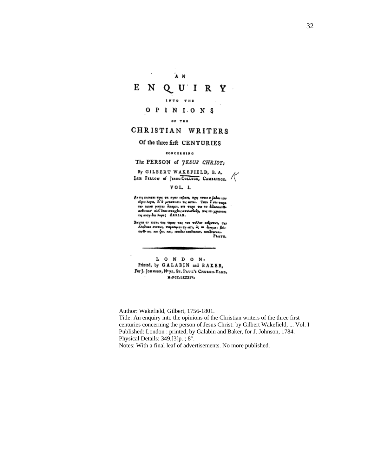$\epsilon$ ́л N E  $Q$  U I R Y N INTO THE OPINIONS  $02.782$ CHRISTIAN WRITERS Of the three firft CENTURIES CONCILNING The PERSON of JESUS CHRIST: By GILBERT WAKEFIELD, B. A. Late FELLOW of JESUS-COLLEGE, CAMBRIDGE. VOL. I. δι τις εκρατει της τα σχαι κεβασι, της τατιν Β' άδει την<br>το κορνι, δι' ο μεταπιστι τις αυτο. - Τοτο δ' στι ταφα<br>το κοκον γικται διαμοι, στι ταφα τις το διδασπαθο<br>ασθουαν' αλλ' όταν απαχθες απολοθούς, τος τη χησιτας<br>τις α Χαιρια οι εκσας τας τιμας τας των πολλων ανέρωτων, στη<br>Αλαθείαν σκεπων, πιφασιμαν τη εντι, ώς αν δυνομαι βελ-<br>τιςΦ κη, παι ζοη, παι, επιιδαν απεθετσιω, απεθετσιαι. PLATO,

L O N D O N: Printed, by GALABIN and BAKER, For J. JOHNSON, Nº72, ST. PAUL'S CHURCH-YARD. M.DCC.LXXXIV.

Author: Wakefield, Gilbert, 1756-1801. Title: An enquiry into the opinions of the Christian writers of the three first centuries concerning the person of Jesus Christ: by Gilbert Wakefield, ... Vol. I Published: London : printed, by Galabin and Baker, for J. Johnson, 1784. Physical Details: 349,[3]p. ; 8°.

Notes: With a final leaf of advertisements. No more published.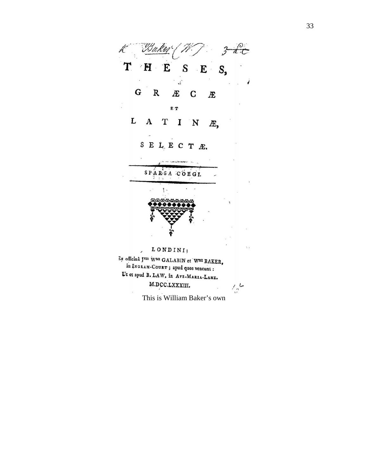K Baker (?  $\mathcal{I}$  3 dec  $T$   $H$   $E$   $S$   $E$   $S$  $\ddot{\cdot}$  ${\bf G}$  ${\bf R}$ Æ  $\mathbf C$ Æ Î E T  $\begin{array}{cccc} \textbf{L} & \textbf{A} & \textbf{T} & \textbf{I} \end{array}$  $\mathbf N$ Æ, SELECTE. SPARSA COEGI.  $\mathcal{L}$  $\mathbf{1}$ .  $\cdot$  , LONDINI:  $\overline{\phantom{a}}$ 3x officina JNIS WMI GALABIN et WMI BAKER, in INGRAM-COURT ; apud quos veneunt : Ut et apud B. LAW, in Ave-MARIA-LANE. M.DCC.LXXXIII.  $\mathcal{L}^{\mathcal{L}}$ This is William Baker's own

33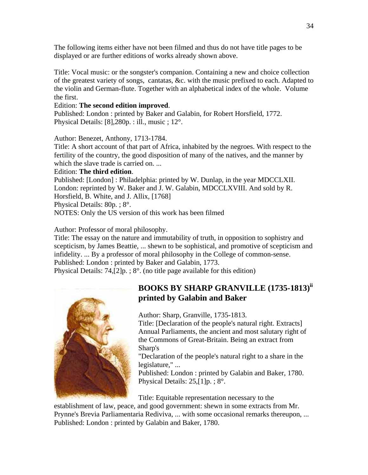The following items either have not been filmed and thus do not have title pages to be displayed or are further editions of works already shown above.

Title: Vocal music: or the songster's companion. Containing a new and choice collection of the greatest variety of songs, cantatas, &c. with the music prefixed to each. Adapted to the violin and German-flute. Together with an alphabetical index of the whole. Volume the first.

### Edition: **The second edition improved**.

Published: London : printed by Baker and Galabin, for Robert Horsfield, 1772. Physical Details: [8],280p. : ill., music ; 12°.

Author: Benezet, Anthony, 1713-1784.

Title: A short account of that part of Africa, inhabited by the negroes. With respect to the fertility of the country, the good disposition of many of the natives, and the manner by which the slave trade is carried on.

### Edition: **The third edition**.

Published: [London] : Philadelphia: printed by W. Dunlap, in the year MDCCLXII. London: reprinted by W. Baker and J. W. Galabin, MDCCLXVIII. And sold by R. Horsfield, B. White, and J. Allix, [1768] Physical Details: 80p. ; 8°. NOTES: Only the US version of this work has been filmed

Author: Professor of moral philosophy.

Title: The essay on the nature and immutability of truth, in opposition to sophistry and scepticism, by James Beattie, ... shewn to be sophistical, and promotive of scepticism and infidelity. ... By a professor of moral philosophy in the College of common-sense. Published: London : printed by Baker and Galabin, 1773. Physical Details:  $74$ ,  $[2]p$ .;  $8^\circ$ . (no title page available for this edition)



### **BOOKS BY SHARP GRANVILLE (1735-1813) [ii](#page-37-1) printed by Galabin and Baker**

Author: Sharp, Granville, 1735-1813.

Title: [Declaration of the people's natural right. Extracts] Annual Parliaments, the ancient and most salutary right of the Commons of Great-Britain. Being an extract from Sharp's

"Declaration of the people's natural right to a share in the legislature," ...

Published: London : printed by Galabin and Baker, 1780. Physical Details: 25,[1]p. ; 8°.

Title: Equitable representation necessary to the

establishment of law, peace, and good government: shewn in some extracts from Mr. Prynne's Brevia Parliamentaria Rediviva, ... with some occasional remarks thereupon, ... Published: London : printed by Galabin and Baker, 1780.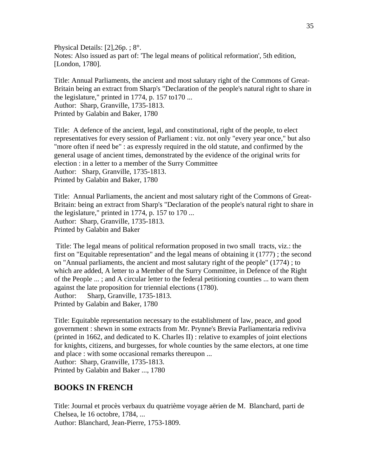Physical Details: [2],26p. ; 8°. Notes: Also issued as part of: 'The legal means of political reformation', 5th edition, [London, 1780].

Title: Annual Parliaments, the ancient and most salutary right of the Commons of Great-Britain being an extract from Sharp's "Declaration of the people's natural right to share in the legislature," printed in 1774, p. 157 to170 ... Author: Sharp, Granville, 1735-1813. Printed by Galabin and Baker, 1780

Title: A defence of the ancient, legal, and constitutional, right of the people, to elect representatives for every session of Parliament : viz. not only "every year once," but also "more often if need be" : as expressly required in the old statute, and confirmed by the general usage of ancient times, demonstrated by the evidence of the original writs for election : in a letter to a member of the Surry Committee Author: Sharp, Granville, 1735-1813. Printed by Galabin and Baker, 1780

Title: Annual Parliaments, the ancient and most salutary right of the Commons of Great-Britain: being an extract from Sharp's "Declaration of the people's natural right to share in the legislature," printed in 1774, p. 157 to 170 ... Author: Sharp, Granville, 1735-1813. Printed by Galabin and Baker

 Title: The legal means of political reformation proposed in two small tracts, viz.: the first on "Equitable representation" and the legal means of obtaining it (1777) ; the second on "Annual parliaments, the ancient and most salutary right of the people" (1774) ; to which are added, A letter to a Member of the Surry Committee, in Defence of the Right of the People ... ; and A circular letter to the federal petitioning counties ... to warn them against the late proposition for triennial elections (1780). Author: Sharp, Granville, 1735-1813. Printed by Galabin and Baker, 1780

Title: Equitable representation necessary to the establishment of law, peace, and good government : shewn in some extracts from Mr. Prynne's Brevia Parliamentaria rediviva (printed in 1662, and dedicated to K. Charles II) : relative to examples of joint elections for knights, citizens, and burgesses, for whole counties by the same electors, at one time and place : with some occasional remarks thereupon ...

Author: Sharp, Granville, 1735-1813.

Printed by Galabin and Baker ..., 1780

#### **BOOKS IN FRENCH**

Title: Journal et procès verbaux du quatrième voyage aërien de M. Blanchard, parti de Chelsea, le 16 octobre, 1784, ...

Author: Blanchard, Jean-Pierre, 1753-1809.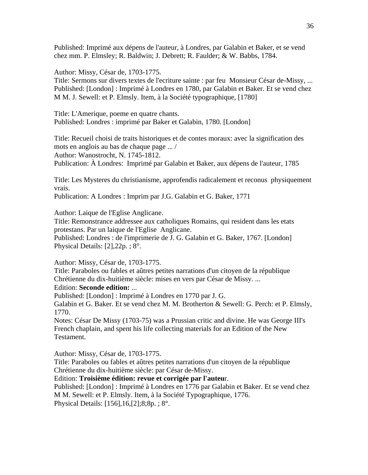Published: Imprimé aux dépens de l'auteur, à Londres, par Galabin et Baker, et se vend chez mm. P. Elmsley; R. Baldwin; J. Debrett; R. Faulder; & W. Babbs, 1784.

Author: Missy, César de, 1703-1775.

Title: Sermons sur divers textes de l'ecriture sainte : par feu Monsieur César de-Missy, ... Published: [London] : Imprimé à Londres en 1780, par Galabin et Baker. Et se vend chez M M. J. Sewell: et P. Elmsly. Item, à la Société typographique, [1780]

Title: L'Amerique, poeme en quatre chants. Published: Londres : imprimé par Baker et Galabin, 1780. [London]

Title: Recueil choisi de traits historiques et de contes moraux: avec la signification des mots en anglois au bas de chaque page ... / Author: Wanostrocht, N. 1745-1812. Publication: À Londres: Imprimé par Galabin et Baker, aux dépens de l'auteur, 1785

Title: Les Mysteres du christianisme, approfendis radicalement et reconus physiquement vrais.

Publication: A Londres : Imprim par J.G. Galabin et G. Baker, 1771

Author: Laique de l'Eglise Anglicane.

Title: Remonstrance addressee aux catholiques Romains, qui resident dans les etats protestans. Par un laique de l'Eglise Anglicane.

Published: Londres : de l'imprimerie de J. G. Galabin et G. Baker, 1767. [London] Physical Details: [2],22p. ; 8°.

Author: Missy, César de, 1703-1775.

Title: Paraboles ou fables et aûtres petites narrations d'un citoyen de la république Chrétienne du dix-huitième siècle: mises en vers par César de Missy. ... Edition: **Seconde edition:** ...

Published: [London] : Imprimé à Londres en 1770 par J. G.

Galabin et G. Baker. Et se vend chez M. M. Brotherton & Sewell: G. Perch: et P. Elmsly, 1770.

Notes: César De Missy (1703-75) was a Prussian critic and divine. He was George III's French chaplain, and spent his life collecting materials for an Edition of the New Testament.

Author: Missy, César de, 1703-1775.

Title: Paraboles ou fables et aûtres petites narrations d'un citoyen de la république Chrétienne du dix-huitième siècle: par César de-Missy.

Edition: **Troisième édition: revue et corrigée par l'auteu**r.

Published: [London] : Imprimé à Londres en 1776 par Galabin et Baker. Et se vend chez M M. Sewell: et P. Elmsly. Item, à la Société Typographique, 1776. Physical Details: [156],16,[2];8;8p. ; 8°.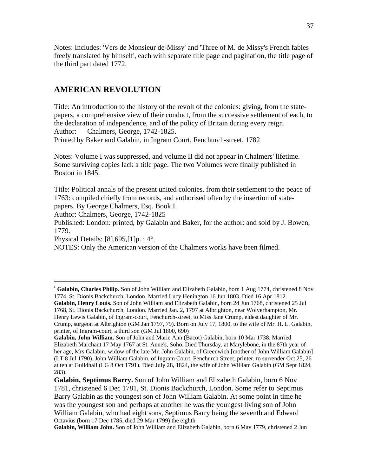Notes: Includes: 'Vers de Monsieur de-Missy' and 'Three of M. de Missy's French fables freely translated by himself', each with separate title page and pagination, the title page of the third part dated 1772.

### **AMERICAN REVOLUTION**

Title: An introduction to the history of the revolt of the colonies: giving, from the statepapers, a comprehensive view of their conduct, from the successive settlement of each, to the declaration of independence, and of the policy of Britain during every reign. Author: Chalmers, George, 1742-1825.

Printed by Baker and Galabin, in Ingram Court, Fenchurch-street, 1782

Notes: Volume I was suppressed, and volume II did not appear in Chalmers' lifetime. Some surviving copies lack a title page. The two Volumes were finally published in Boston in 1845.

Title: Political annals of the present united colonies, from their settlement to the peace of 1763: compiled chiefly from records, and authorised often by the insertion of statepapers. By George Chalmers, Esq. Book I.

Author: Chalmers, George, 1742-1825

Published: London: printed, by Galabin and Baker, for the author: and sold by J. Bowen, 1779.

Physical Details: [8],695,[1]p. ; 4°.

 $\overline{a}$ 

NOTES: Only the American version of the Chalmers works have been filmed.

<sup>&</sup>lt;sup>i</sup> Galabin, Charles Philip. Son of John William and Elizabeth Galabin, born 1 Aug 1774, christened 8 Nov 1774, St. Dionis Backchurch, London. Married Lucy Henington 16 Jun 1803. Died 16 Apr 1812 **Galabin, Henry Louis.** Son of John William and Elizabeth Galabin, born 24 Jun 1768, christened 25 Jul

<sup>1768,</sup> St. Dionis Backchurch, London. Married Jan. 2, 1797 at Albrighton, near Wolverhampton, Mr. Henry Lewis Galabin, of Ingram-court, Fenchurch-street, to Miss Jane Crump, eldest daughter of Mr. Crump, surgeon at Albrighton (GM Jan 1797, 79). Born on July 17, 1800, to the wife of Mr. H. L. Galabin, printer, of Ingram-court, a third son (GM Jul 1800, 690)

**Galabin, John William.** Son of John and Marie Ann (Bacot) Galabin, born 10 Mar 1738. Married Elizabeth Marchant 17 May 1767 at St. Anne's, Soho. Died Thursday, at Marylebone, in the 87th year of her age, Mrs Galabin, widow of the late Mr. John Galabin, of Greenwich [mother of John William Galabin] (LT 8 Jul 1790). John William Galabin, of Ingram Court, Fenchurch Street, printer, to surrender Oct 25, 26 at ten at Guildhall (LG 8 Oct 1791). Died July 28, 1824, the wife of John William Galabin (GM Sept 1824, 283).

**Galabin, Septimus Barry.** Son of John William and Elizabeth Galabin, born 6 Nov 1781, christened 6 Dec 1781, St. Dionis Backchurch, London. Some refer to Septimus Barry Galabin as the youngest son of John William Galabin. At some point in time he was the youngest son and perhaps at another he was the youngest living son of John William Galabin, who had eight sons, Septimus Barry being the seventh and Edward Octavius (born 17 Dec 1785, died 29 Mar 1799) the eighth.

**Galabin, William John.** Son of John William and Elizabeth Galabin, born 6 May 1779, christened 2 Jun